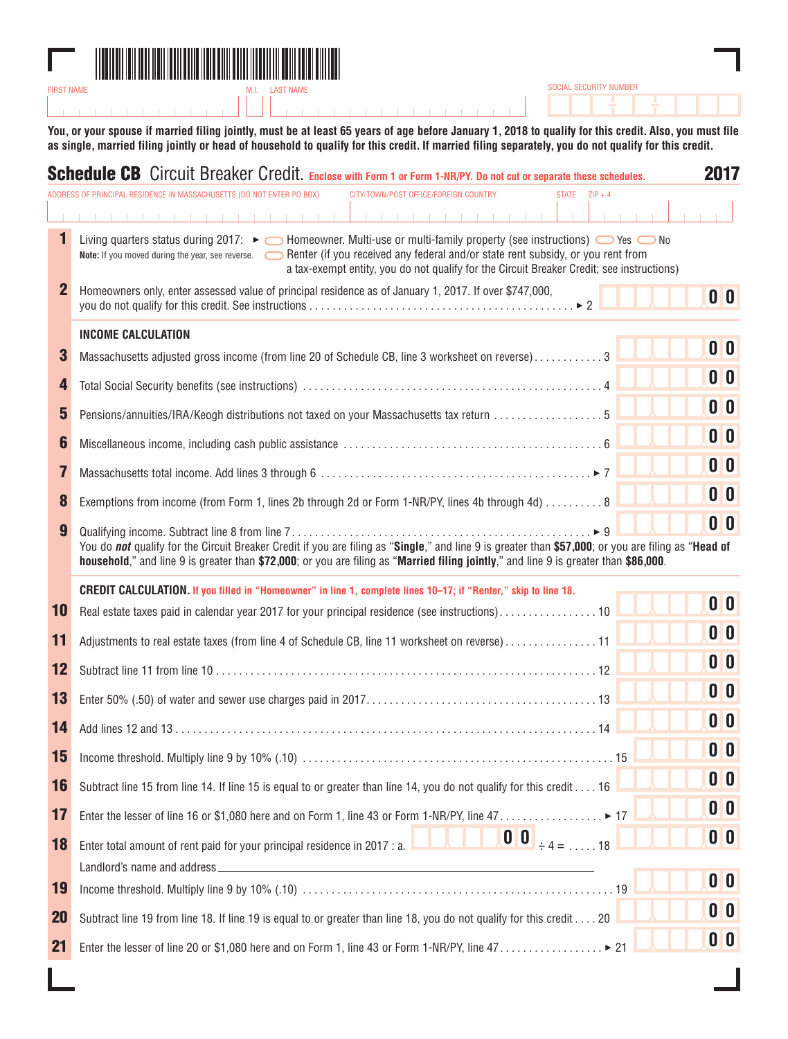

**You, or your spouse if married filing jointly, must be at least 65 years of age before January 1, 2018 to qualify for this credit. Also, you must file as single, married filing jointly or head of household to qualify for this credit. If married filing separately, you do not qualify for this credit.**

SOCIAL SECURITY NUMBER

|             | <b>Schedule CB</b> Circuit Breaker Credit. Enclose with Form 1 or Form 1-NR/PY. Do not cut or separate these schedules.                                                                                                                                                                                                                      | 2017                      |
|-------------|----------------------------------------------------------------------------------------------------------------------------------------------------------------------------------------------------------------------------------------------------------------------------------------------------------------------------------------------|---------------------------|
|             | ADDRESS OF PRINCIPAL RESIDENCE IN MASSACHUSETTS (DO NOT ENTER PO BOX)<br>CITY/TOWN/POST OFFICE/FOREIGN COUNTRY<br>STATE $ZIP + 4$                                                                                                                                                                                                            |                           |
| 1           | .<br>.<br>Living quarters status during 2017: ► ● Homeowner. Multi-use or multi-family property (see instructions) ● Yes ● No<br>Note: If you moved during the year, see reverse. Secondary Federal and/or state rent subsidy, or you rent from<br>a tax-exempt entity, you do not qualify for the Circuit Breaker Credit; see instructions) |                           |
| $\mathbf 2$ | Homeowners only, enter assessed value of principal residence as of January 1, 2017. If over \$747,000,                                                                                                                                                                                                                                       | 0 <sup>0</sup>            |
|             | <b>INCOME CALCULATION</b>                                                                                                                                                                                                                                                                                                                    |                           |
| 3           | Massachusetts adjusted gross income (from line 20 of Schedule CB, line 3 worksheet on reverse)3                                                                                                                                                                                                                                              | 0 <sup>0</sup>            |
| 4           |                                                                                                                                                                                                                                                                                                                                              | 0 <sup>0</sup>            |
| 5           | Pensions/annuities/IRA/Keogh distributions not taxed on your Massachusetts tax return  5                                                                                                                                                                                                                                                     | 0 <sup>0</sup>            |
| 6           |                                                                                                                                                                                                                                                                                                                                              | 0 <sup>0</sup>            |
| 7           |                                                                                                                                                                                                                                                                                                                                              | $\mathbf{0}$ $\mathbf{0}$ |
| 8           | Exemptions from income (from Form 1, lines 2b through 2d or Form 1-NR/PY, lines 4b through 4d)  8                                                                                                                                                                                                                                            | 0 <sup>0</sup>            |
| 9           | $\blacktriangleright$ 9<br>You do not qualify for the Circuit Breaker Credit if you are filing as "Single," and line 9 is greater than \$57,000; or you are filing as "Head of<br>household," and line 9 is greater than \$72,000; or you are filing as "Married filing jointly," and line 9 is greater than \$86,000.                       | 0 <sup>0</sup>            |
|             | CREDIT CALCULATION. If you filled in "Homeowner" in line 1, complete lines 10-17; if "Renter," skip to line 18.                                                                                                                                                                                                                              |                           |
| 10          |                                                                                                                                                                                                                                                                                                                                              | 0 <sup>0</sup>            |
| 11          | Adjustments to real estate taxes (from line 4 of Schedule CB, line 11 worksheet on reverse)11                                                                                                                                                                                                                                                | 0 <sup>0</sup>            |
| 12          |                                                                                                                                                                                                                                                                                                                                              | 0 <sup>0</sup>            |
| 13          |                                                                                                                                                                                                                                                                                                                                              | 0 <sub>0</sub>            |
| 14          |                                                                                                                                                                                                                                                                                                                                              | 0 <sub>0</sub>            |
| 15          |                                                                                                                                                                                                                                                                                                                                              | 0 <sub>0</sub>            |
| 16          | Subtract line 15 from line 14. If line 15 is equal to or greater than line 14, you do not qualify for this credit 16                                                                                                                                                                                                                         | 0 <sup>o</sup>            |
| 17          | Enter the lesser of line 16 or \$1,080 here and on Form 1, line 43 or Form 1-NR/PY, line 47. ▶ 17                                                                                                                                                                                                                                            | 0 <sup>0</sup>            |
| 18          | $\begin{bmatrix} 0 & 0 \\ 0 & +4 \end{bmatrix}$ + 4 =  18<br>Enter total amount of rent paid for your principal residence in 2017 : a.                                                                                                                                                                                                       | $\mathbf{0}$ $\mathbf{0}$ |
| 19          |                                                                                                                                                                                                                                                                                                                                              | 0 <sub>0</sub>            |
| <b>20</b>   | Subtract line 19 from line 18. If line 19 is equal to or greater than line 18, you do not qualify for this credit 20                                                                                                                                                                                                                         | 0 <sup>0</sup>            |
| 21          | Enter the lesser of line 20 or \$1,080 here and on Form 1, line 43 or Form 1-NR/PY, line 47. ▶ 21                                                                                                                                                                                                                                            | 0 <sup>0</sup>            |